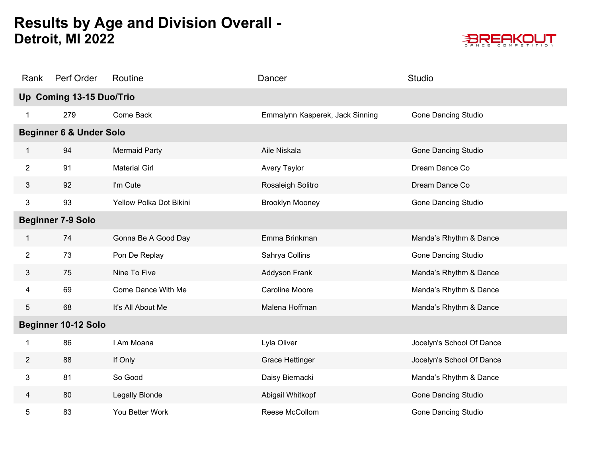

| Rank           | Perf Order                         | Routine                 | Dancer                          | Studio                     |
|----------------|------------------------------------|-------------------------|---------------------------------|----------------------------|
|                | Up Coming 13-15 Duo/Trio           |                         |                                 |                            |
|                | 279                                | Come Back               | Emmalynn Kasperek, Jack Sinning | Gone Dancing Studio        |
|                | <b>Beginner 6 &amp; Under Solo</b> |                         |                                 |                            |
| 1              | 94                                 | <b>Mermaid Party</b>    | Aile Niskala                    | <b>Gone Dancing Studio</b> |
| $\overline{2}$ | 91                                 | <b>Material Girl</b>    | Avery Taylor                    | Dream Dance Co             |
| 3              | 92                                 | I'm Cute                | Rosaleigh Solitro               | Dream Dance Co             |
| 3              | 93                                 | Yellow Polka Dot Bikini | <b>Brooklyn Mooney</b>          | <b>Gone Dancing Studio</b> |
|                | <b>Beginner 7-9 Solo</b>           |                         |                                 |                            |
| 1              | 74                                 | Gonna Be A Good Day     | Emma Brinkman                   | Manda's Rhythm & Dance     |
| $\overline{2}$ | 73                                 | Pon De Replay           | Sahrya Collins                  | <b>Gone Dancing Studio</b> |
| 3              | 75                                 | Nine To Five            | Addyson Frank                   | Manda's Rhythm & Dance     |
| 4              | 69                                 | Come Dance With Me      | <b>Caroline Moore</b>           | Manda's Rhythm & Dance     |
| 5              | 68                                 | It's All About Me       | Malena Hoffman                  | Manda's Rhythm & Dance     |
|                | <b>Beginner 10-12 Solo</b>         |                         |                                 |                            |
| 1              | 86                                 | I Am Moana              | Lyla Oliver                     | Jocelyn's School Of Dance  |
| $\overline{2}$ | 88                                 | If Only                 | <b>Grace Hettinger</b>          | Jocelyn's School Of Dance  |
| 3              | 81                                 | So Good                 | Daisy Biernacki                 | Manda's Rhythm & Dance     |
| 4              | 80                                 | <b>Legally Blonde</b>   | Abigail Whitkopf                | <b>Gone Dancing Studio</b> |
| 5              | 83                                 | You Better Work         | Reese McCollom                  | <b>Gone Dancing Studio</b> |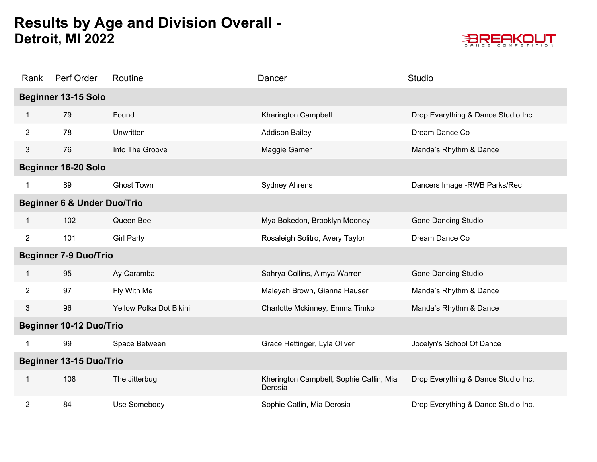

| Rank            | Perf Order                             | Routine                 | Dancer                                             | <b>Studio</b>                       |
|-----------------|----------------------------------------|-------------------------|----------------------------------------------------|-------------------------------------|
|                 | Beginner 13-15 Solo                    |                         |                                                    |                                     |
| 1               | 79                                     | Found                   | Kherington Campbell                                | Drop Everything & Dance Studio Inc. |
| $\overline{2}$  | 78                                     | Unwritten               | <b>Addison Bailey</b>                              | Dream Dance Co                      |
| $3\overline{3}$ | 76                                     | Into The Groove         | Maggie Garner                                      | Manda's Rhythm & Dance              |
|                 | <b>Beginner 16-20 Solo</b>             |                         |                                                    |                                     |
| 1               | 89                                     | <b>Ghost Town</b>       | <b>Sydney Ahrens</b>                               | Dancers Image - RWB Parks/Rec       |
|                 | <b>Beginner 6 &amp; Under Duo/Trio</b> |                         |                                                    |                                     |
| 1               | 102                                    | Queen Bee               | Mya Bokedon, Brooklyn Mooney                       | <b>Gone Dancing Studio</b>          |
| $\overline{2}$  | 101                                    | <b>Girl Party</b>       | Rosaleigh Solitro, Avery Taylor                    | Dream Dance Co                      |
|                 | <b>Beginner 7-9 Duo/Trio</b>           |                         |                                                    |                                     |
| 1.              | 95                                     | Ay Caramba              | Sahrya Collins, A'mya Warren                       | <b>Gone Dancing Studio</b>          |
| $\overline{2}$  | 97                                     | Fly With Me             | Maleyah Brown, Gianna Hauser                       | Manda's Rhythm & Dance              |
| 3               | 96                                     | Yellow Polka Dot Bikini | Charlotte Mckinney, Emma Timko                     | Manda's Rhythm & Dance              |
|                 | <b>Beginner 10-12 Duo/Trio</b>         |                         |                                                    |                                     |
| 1               | 99                                     | Space Between           | Grace Hettinger, Lyla Oliver                       | Jocelyn's School Of Dance           |
|                 | <b>Beginner 13-15 Duo/Trio</b>         |                         |                                                    |                                     |
| 1               | 108                                    | The Jitterbug           | Kherington Campbell, Sophie Catlin, Mia<br>Derosia | Drop Everything & Dance Studio Inc. |
| $\overline{2}$  | 84                                     | Use Somebody            | Sophie Catlin, Mia Derosia                         | Drop Everything & Dance Studio Inc. |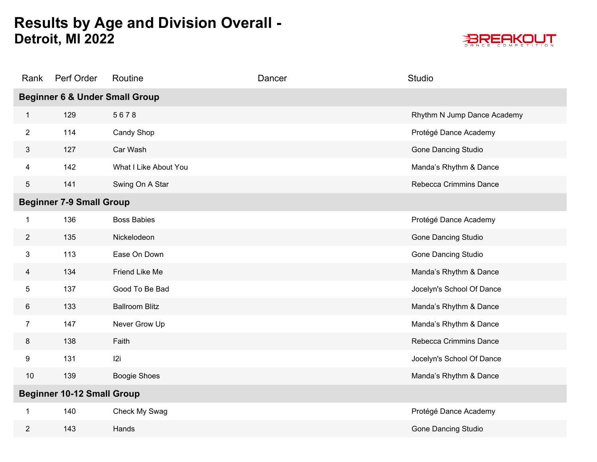

| Rank           | Perf Order                                | Routine               | Dancer | Studio                      |  |
|----------------|-------------------------------------------|-----------------------|--------|-----------------------------|--|
|                | <b>Beginner 6 &amp; Under Small Group</b> |                       |        |                             |  |
| $\mathbf{1}$   | 129                                       | 5678                  |        | Rhythm N Jump Dance Academy |  |
| $\overline{2}$ | 114                                       | Candy Shop            |        | Protégé Dance Academy       |  |
| 3              | 127                                       | Car Wash              |        | <b>Gone Dancing Studio</b>  |  |
| 4              | 142                                       | What I Like About You |        | Manda's Rhythm & Dance      |  |
| 5              | 141                                       | Swing On A Star       |        | Rebecca Crimmins Dance      |  |
|                | <b>Beginner 7-9 Small Group</b>           |                       |        |                             |  |
| 1              | 136                                       | <b>Boss Babies</b>    |        | Protégé Dance Academy       |  |
| $\overline{2}$ | 135                                       | Nickelodeon           |        | Gone Dancing Studio         |  |
| 3              | 113                                       | Ease On Down          |        | Gone Dancing Studio         |  |
| 4              | 134                                       | Friend Like Me        |        | Manda's Rhythm & Dance      |  |
| 5              | 137                                       | Good To Be Bad        |        | Jocelyn's School Of Dance   |  |
| 6              | 133                                       | <b>Ballroom Blitz</b> |        | Manda's Rhythm & Dance      |  |
| $\overline{7}$ | 147                                       | Never Grow Up         |        | Manda's Rhythm & Dance      |  |
| 8              | 138                                       | Faith                 |        | Rebecca Crimmins Dance      |  |
| 9              | 131                                       | 12i                   |        | Jocelyn's School Of Dance   |  |
| $10$           | 139                                       | <b>Boogie Shoes</b>   |        | Manda's Rhythm & Dance      |  |
|                | <b>Beginner 10-12 Small Group</b>         |                       |        |                             |  |
| 1              | 140                                       | Check My Swag         |        | Protégé Dance Academy       |  |
| $\overline{2}$ | 143                                       | Hands                 |        | <b>Gone Dancing Studio</b>  |  |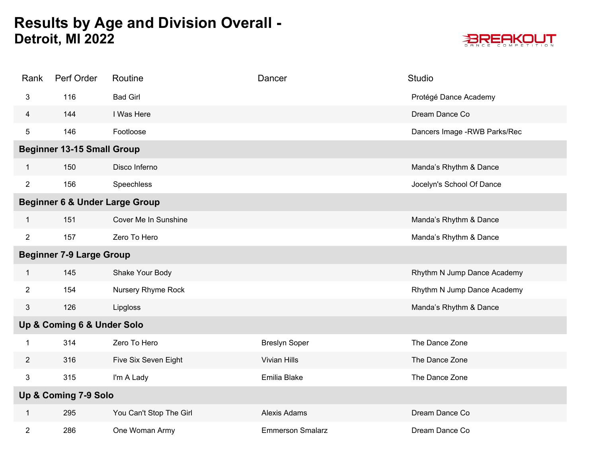

| Rank           | Perf Order                                | Routine                 | Dancer                  | Studio                        |
|----------------|-------------------------------------------|-------------------------|-------------------------|-------------------------------|
| 3              | 116                                       | <b>Bad Girl</b>         |                         | Protégé Dance Academy         |
| 4              | 144                                       | I Was Here              |                         | Dream Dance Co                |
| 5              | 146                                       | Footloose               |                         | Dancers Image - RWB Parks/Rec |
|                | <b>Beginner 13-15 Small Group</b>         |                         |                         |                               |
| $\mathbf{1}$   | 150                                       | Disco Inferno           |                         | Manda's Rhythm & Dance        |
| $\overline{2}$ | 156                                       | Speechless              |                         | Jocelyn's School Of Dance     |
|                | <b>Beginner 6 &amp; Under Large Group</b> |                         |                         |                               |
| $\mathbf{1}$   | 151                                       | Cover Me In Sunshine    |                         | Manda's Rhythm & Dance        |
| $\overline{2}$ | 157                                       | Zero To Hero            |                         | Manda's Rhythm & Dance        |
|                | <b>Beginner 7-9 Large Group</b>           |                         |                         |                               |
| 1              | 145                                       | Shake Your Body         |                         | Rhythm N Jump Dance Academy   |
| $\overline{2}$ | 154                                       | Nursery Rhyme Rock      |                         | Rhythm N Jump Dance Academy   |
| 3              | 126                                       | Lipgloss                |                         | Manda's Rhythm & Dance        |
|                | Up & Coming 6 & Under Solo                |                         |                         |                               |
| 1              | 314                                       | Zero To Hero            | <b>Breslyn Soper</b>    | The Dance Zone                |
| $\overline{2}$ | 316                                       | Five Six Seven Eight    | Vivian Hills            | The Dance Zone                |
| 3              | 315                                       | I'm A Lady              | Emilia Blake            | The Dance Zone                |
|                | Up & Coming 7-9 Solo                      |                         |                         |                               |
| $\mathbf{1}$   | 295                                       | You Can't Stop The Girl | Alexis Adams            | Dream Dance Co                |
| 2              | 286                                       | One Woman Army          | <b>Emmerson Smalarz</b> | Dream Dance Co                |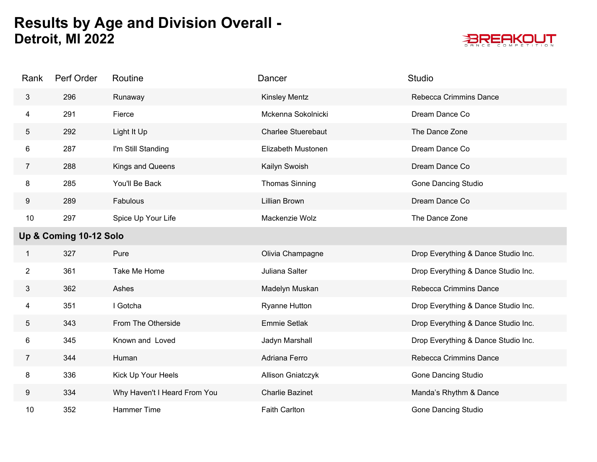

| Rank            | Perf Order             | Routine                      | Dancer                   | <b>Studio</b>                       |
|-----------------|------------------------|------------------------------|--------------------------|-------------------------------------|
| 3               | 296                    | Runaway                      | <b>Kinsley Mentz</b>     | Rebecca Crimmins Dance              |
| 4               | 291                    | Fierce                       | Mckenna Sokolnicki       | Dream Dance Co                      |
| $5\phantom{.0}$ | 292                    | Light It Up                  | Charlee Stuerebaut       | The Dance Zone                      |
| 6               | 287                    | I'm Still Standing           | Elizabeth Mustonen       | Dream Dance Co                      |
| $\overline{7}$  | 288                    | Kings and Queens             | Kailyn Swoish            | Dream Dance Co                      |
| 8               | 285                    | You'll Be Back               | <b>Thomas Sinning</b>    | Gone Dancing Studio                 |
| 9               | 289                    | Fabulous                     | Lillian Brown            | Dream Dance Co                      |
| 10              | 297                    | Spice Up Your Life           | Mackenzie Wolz           | The Dance Zone                      |
|                 | Up & Coming 10-12 Solo |                              |                          |                                     |
| 1               | 327                    | Pure                         | Olivia Champagne         | Drop Everything & Dance Studio Inc. |
| $\overline{2}$  | 361                    | Take Me Home                 | Juliana Salter           | Drop Everything & Dance Studio Inc. |
| 3               | 362                    | Ashes                        | Madelyn Muskan           | Rebecca Crimmins Dance              |
| 4               | 351                    | I Gotcha                     | <b>Ryanne Hutton</b>     | Drop Everything & Dance Studio Inc. |
| $5\phantom{.0}$ | 343                    | From The Otherside           | <b>Emmie Setlak</b>      | Drop Everything & Dance Studio Inc. |
| 6               | 345                    | Known and Loved              | Jadyn Marshall           | Drop Everything & Dance Studio Inc. |
| $\overline{7}$  | 344                    | Human                        | Adriana Ferro            | Rebecca Crimmins Dance              |
| 8               | 336                    | Kick Up Your Heels           | <b>Allison Gniatczyk</b> | <b>Gone Dancing Studio</b>          |
| 9               | 334                    | Why Haven't I Heard From You | <b>Charlie Bazinet</b>   | Manda's Rhythm & Dance              |
| 10              | 352                    | <b>Hammer Time</b>           | <b>Faith Carlton</b>     | <b>Gone Dancing Studio</b>          |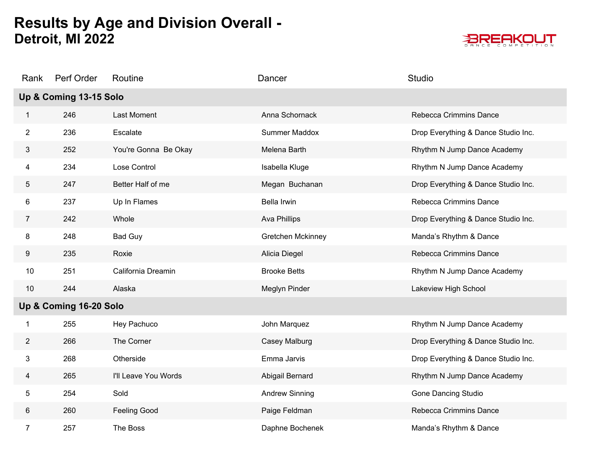

| Rank            | Perf Order             | Routine              | Dancer                | Studio                              |
|-----------------|------------------------|----------------------|-----------------------|-------------------------------------|
|                 | Up & Coming 13-15 Solo |                      |                       |                                     |
| 1               | 246                    | <b>Last Moment</b>   | Anna Schornack        | Rebecca Crimmins Dance              |
| $\overline{2}$  | 236                    | Escalate             | Summer Maddox         | Drop Everything & Dance Studio Inc. |
| 3               | 252                    | You're Gonna Be Okay | Melena Barth          | Rhythm N Jump Dance Academy         |
| 4               | 234                    | Lose Control         | Isabella Kluge        | Rhythm N Jump Dance Academy         |
| 5               | 247                    | Better Half of me    | Megan Buchanan        | Drop Everything & Dance Studio Inc. |
| 6               | 237                    | Up In Flames         | Bella Irwin           | Rebecca Crimmins Dance              |
| $7\overline{ }$ | 242                    | Whole                | Ava Phillips          | Drop Everything & Dance Studio Inc. |
| 8               | 248                    | <b>Bad Guy</b>       | Gretchen Mckinney     | Manda's Rhythm & Dance              |
| 9               | 235                    | Roxie                | Alicia Diegel         | Rebecca Crimmins Dance              |
| 10              | 251                    | California Dreamin   | <b>Brooke Betts</b>   | Rhythm N Jump Dance Academy         |
| $10$            | 244                    | Alaska               | Meglyn Pinder         | Lakeview High School                |
|                 | Up & Coming 16-20 Solo |                      |                       |                                     |
|                 | 255                    | Hey Pachuco          | John Marquez          | Rhythm N Jump Dance Academy         |
| $\overline{2}$  | 266                    | The Corner           | Casey Malburg         | Drop Everything & Dance Studio Inc. |
| 3               | 268                    | Otherside            | Emma Jarvis           | Drop Everything & Dance Studio Inc. |
| 4               | 265                    | I'll Leave You Words | Abigail Bernard       | Rhythm N Jump Dance Academy         |
| 5               | 254                    | Sold                 | <b>Andrew Sinning</b> | <b>Gone Dancing Studio</b>          |
| 6               | 260                    | <b>Feeling Good</b>  | Paige Feldman         | Rebecca Crimmins Dance              |
| 7               | 257                    | The Boss             | Daphne Bochenek       | Manda's Rhythm & Dance              |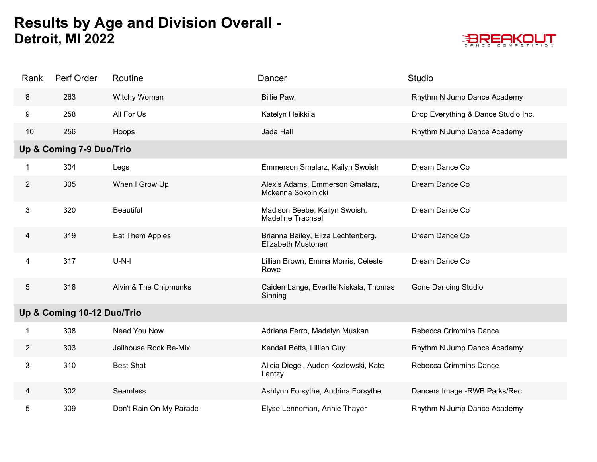

| Rank           | Perf Order                 | Routine                 | Dancer                                                    | <b>Studio</b>                       |
|----------------|----------------------------|-------------------------|-----------------------------------------------------------|-------------------------------------|
| 8              | 263                        | Witchy Woman            | <b>Billie Pawl</b>                                        | Rhythm N Jump Dance Academy         |
| 9              | 258                        | All For Us              | Katelyn Heikkila                                          | Drop Everything & Dance Studio Inc. |
| 10             | 256                        | Hoops                   | Jada Hall                                                 | Rhythm N Jump Dance Academy         |
|                | Up & Coming 7-9 Duo/Trio   |                         |                                                           |                                     |
| -1             | 304                        | Legs                    | Emmerson Smalarz, Kailyn Swoish                           | Dream Dance Co                      |
| $\overline{2}$ | 305                        | When I Grow Up          | Alexis Adams, Emmerson Smalarz,<br>Mckenna Sokolnicki     | Dream Dance Co                      |
| 3              | 320                        | <b>Beautiful</b>        | Madison Beebe, Kailyn Swoish,<br><b>Madeline Trachsel</b> | Dream Dance Co                      |
| 4              | 319                        | Eat Them Apples         | Brianna Bailey, Eliza Lechtenberg,<br>Elizabeth Mustonen  | Dream Dance Co                      |
| 4              | 317                        | $U-N-I$                 | Lillian Brown, Emma Morris, Celeste<br>Rowe               | Dream Dance Co                      |
| 5              | 318                        | Alvin & The Chipmunks   | Caiden Lange, Evertte Niskala, Thomas<br>Sinning          | <b>Gone Dancing Studio</b>          |
|                | Up & Coming 10-12 Duo/Trio |                         |                                                           |                                     |
| -1             | 308                        | Need You Now            | Adriana Ferro, Madelyn Muskan                             | Rebecca Crimmins Dance              |
| $\overline{2}$ | 303                        | Jailhouse Rock Re-Mix   | Kendall Betts, Lillian Guy                                | Rhythm N Jump Dance Academy         |
| 3              | 310                        | <b>Best Shot</b>        | Alicia Diegel, Auden Kozlowski, Kate<br>Lantzy            | Rebecca Crimmins Dance              |
| 4              | 302                        | Seamless                | Ashlynn Forsythe, Audrina Forsythe                        | Dancers Image - RWB Parks/Rec       |
| 5              | 309                        | Don't Rain On My Parade | Elyse Lenneman, Annie Thayer                              | Rhythm N Jump Dance Academy         |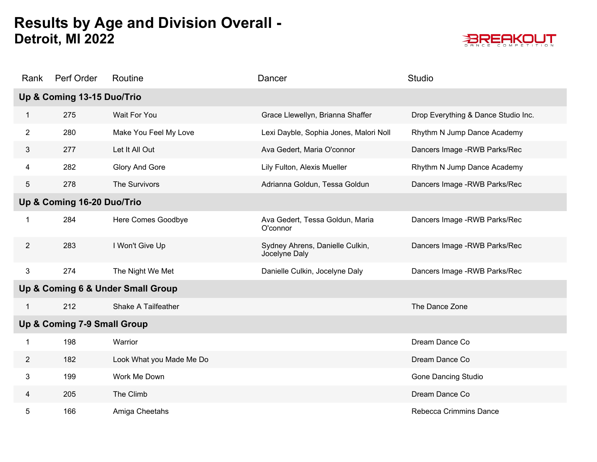

| Rank           | Perf Order                  | Routine                           | Dancer                                           | <b>Studio</b>                       |
|----------------|-----------------------------|-----------------------------------|--------------------------------------------------|-------------------------------------|
|                | Up & Coming 13-15 Duo/Trio  |                                   |                                                  |                                     |
| 1              | 275                         | Wait For You                      | Grace Llewellyn, Brianna Shaffer                 | Drop Everything & Dance Studio Inc. |
| $\overline{2}$ | 280                         | Make You Feel My Love             | Lexi Dayble, Sophia Jones, Malori Noll           | Rhythm N Jump Dance Academy         |
| 3              | 277                         | Let It All Out                    | Ava Gedert, Maria O'connor                       | Dancers Image - RWB Parks/Rec       |
| 4              | 282                         | Glory And Gore                    | Lily Fulton, Alexis Mueller                      | Rhythm N Jump Dance Academy         |
| 5              | 278                         | The Survivors                     | Adrianna Goldun, Tessa Goldun                    | Dancers Image - RWB Parks/Rec       |
|                | Up & Coming 16-20 Duo/Trio  |                                   |                                                  |                                     |
| 1              | 284                         | Here Comes Goodbye                | Ava Gedert, Tessa Goldun, Maria<br>O'connor      | Dancers Image - RWB Parks/Rec       |
| $\overline{2}$ | 283                         | I Won't Give Up                   | Sydney Ahrens, Danielle Culkin,<br>Jocelyne Daly | Dancers Image - RWB Parks/Rec       |
| 3              | 274                         | The Night We Met                  | Danielle Culkin, Jocelyne Daly                   | Dancers Image - RWB Parks/Rec       |
|                |                             | Up & Coming 6 & Under Small Group |                                                  |                                     |
| 1              | 212                         | Shake A Tailfeather               |                                                  | The Dance Zone                      |
|                | Up & Coming 7-9 Small Group |                                   |                                                  |                                     |
| 1              | 198                         | Warrior                           |                                                  | Dream Dance Co                      |
| $\mathbf{2}$   | 182                         | Look What you Made Me Do          |                                                  | Dream Dance Co                      |
| 3              | 199                         | Work Me Down                      |                                                  | <b>Gone Dancing Studio</b>          |
| 4              | 205                         | The Climb                         |                                                  | Dream Dance Co                      |
| 5              | 166                         | Amiga Cheetahs                    |                                                  | Rebecca Crimmins Dance              |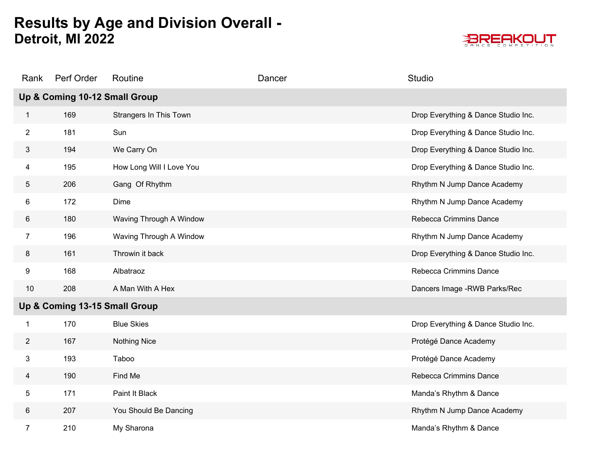

| Rank           | Perf Order                    | Routine                  | Dancer | Studio                              |
|----------------|-------------------------------|--------------------------|--------|-------------------------------------|
|                | Up & Coming 10-12 Small Group |                          |        |                                     |
| $\mathbf{1}$   | 169                           | Strangers In This Town   |        | Drop Everything & Dance Studio Inc. |
| $\overline{2}$ | 181                           | Sun                      |        | Drop Everything & Dance Studio Inc. |
| 3              | 194                           | We Carry On              |        | Drop Everything & Dance Studio Inc. |
| 4              | 195                           | How Long Will I Love You |        | Drop Everything & Dance Studio Inc. |
| 5              | 206                           | Gang Of Rhythm           |        | Rhythm N Jump Dance Academy         |
| 6              | 172                           | Dime                     |        | Rhythm N Jump Dance Academy         |
| 6              | 180                           | Waving Through A Window  |        | Rebecca Crimmins Dance              |
| $\overline{7}$ | 196                           | Waving Through A Window  |        | Rhythm N Jump Dance Academy         |
| 8              | 161                           | Throwin it back          |        | Drop Everything & Dance Studio Inc. |
| 9              | 168                           | Albatraoz                |        | Rebecca Crimmins Dance              |
| 10             | 208                           | A Man With A Hex         |        | Dancers Image - RWB Parks/Rec       |
|                | Up & Coming 13-15 Small Group |                          |        |                                     |
| $\mathbf 1$    | 170                           | <b>Blue Skies</b>        |        | Drop Everything & Dance Studio Inc. |
| $\overline{2}$ | 167                           | <b>Nothing Nice</b>      |        | Protégé Dance Academy               |
| 3              | 193                           | Taboo                    |        | Protégé Dance Academy               |
| 4              | 190                           | Find Me                  |        | Rebecca Crimmins Dance              |
| 5              | 171                           | Paint It Black           |        | Manda's Rhythm & Dance              |
| 6              | 207                           | You Should Be Dancing    |        | Rhythm N Jump Dance Academy         |
| $\overline{7}$ | 210                           | My Sharona               |        | Manda's Rhythm & Dance              |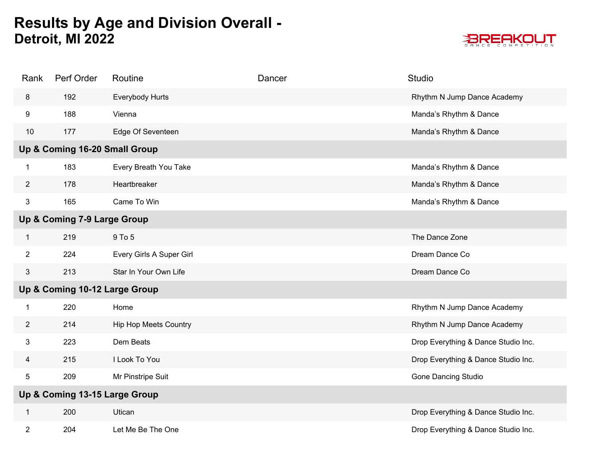

| Rank                    | Perf Order                    | Routine                      | Dancer | Studio                              |
|-------------------------|-------------------------------|------------------------------|--------|-------------------------------------|
| 8                       | 192                           | Everybody Hurts              |        | Rhythm N Jump Dance Academy         |
| 9                       | 188                           | Vienna                       |        | Manda's Rhythm & Dance              |
| 10                      | 177                           | Edge Of Seventeen            |        | Manda's Rhythm & Dance              |
|                         | Up & Coming 16-20 Small Group |                              |        |                                     |
| 1                       | 183                           | Every Breath You Take        |        | Manda's Rhythm & Dance              |
| $\overline{2}$          | 178                           | Heartbreaker                 |        | Manda's Rhythm & Dance              |
| 3                       | 165                           | Came To Win                  |        | Manda's Rhythm & Dance              |
|                         | Up & Coming 7-9 Large Group   |                              |        |                                     |
| 1                       | 219                           | 9 To 5                       |        | The Dance Zone                      |
| $\overline{2}$          | 224                           | Every Girls A Super Girl     |        | Dream Dance Co                      |
| 3                       | 213                           | Star In Your Own Life        |        | Dream Dance Co                      |
|                         | Up & Coming 10-12 Large Group |                              |        |                                     |
| $\mathbf{1}$            | 220                           | Home                         |        | Rhythm N Jump Dance Academy         |
| $\overline{2}$          | 214                           | <b>Hip Hop Meets Country</b> |        | Rhythm N Jump Dance Academy         |
| 3                       | 223                           | Dem Beats                    |        | Drop Everything & Dance Studio Inc. |
| 4                       | 215                           | I Look To You                |        | Drop Everything & Dance Studio Inc. |
| 5                       | 209                           | Mr Pinstripe Suit            |        | <b>Gone Dancing Studio</b>          |
|                         | Up & Coming 13-15 Large Group |                              |        |                                     |
| $\mathbf{1}$            | 200                           | Utican                       |        | Drop Everything & Dance Studio Inc. |
| $\overline{\mathbf{c}}$ | 204                           | Let Me Be The One            |        | Drop Everything & Dance Studio Inc. |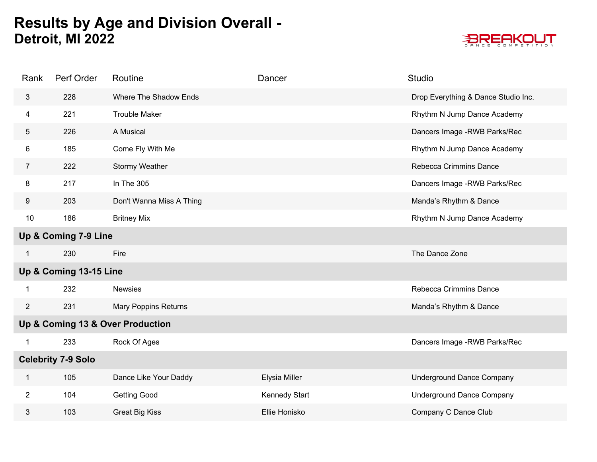

| Rank           | Perf Order                | Routine                          | Dancer               | Studio                              |  |
|----------------|---------------------------|----------------------------------|----------------------|-------------------------------------|--|
| 3              | 228                       | Where The Shadow Ends            |                      | Drop Everything & Dance Studio Inc. |  |
| 4              | 221                       | <b>Trouble Maker</b>             |                      | Rhythm N Jump Dance Academy         |  |
| 5              | 226                       | A Musical                        |                      | Dancers Image - RWB Parks/Rec       |  |
| 6              | 185                       | Come Fly With Me                 |                      | Rhythm N Jump Dance Academy         |  |
| $\overline{7}$ | 222                       | Stormy Weather                   |                      | Rebecca Crimmins Dance              |  |
| 8              | 217                       | In The 305                       |                      | Dancers Image - RWB Parks/Rec       |  |
| 9              | 203                       | Don't Wanna Miss A Thing         |                      | Manda's Rhythm & Dance              |  |
| 10             | 186                       | <b>Britney Mix</b>               |                      | Rhythm N Jump Dance Academy         |  |
|                | Up & Coming 7-9 Line      |                                  |                      |                                     |  |
| $\mathbf 1$    | 230                       | Fire                             |                      | The Dance Zone                      |  |
|                | Up & Coming 13-15 Line    |                                  |                      |                                     |  |
| -1             | 232                       | <b>Newsies</b>                   |                      | Rebecca Crimmins Dance              |  |
| $\overline{2}$ | 231                       | Mary Poppins Returns             |                      | Manda's Rhythm & Dance              |  |
|                |                           | Up & Coming 13 & Over Production |                      |                                     |  |
| $\mathbf 1$    | 233                       | Rock Of Ages                     |                      | Dancers Image - RWB Parks/Rec       |  |
|                | <b>Celebrity 7-9 Solo</b> |                                  |                      |                                     |  |
| $\mathbf{1}$   | 105                       | Dance Like Your Daddy            | Elysia Miller        | <b>Underground Dance Company</b>    |  |
| $\overline{2}$ | 104                       | <b>Getting Good</b>              | <b>Kennedy Start</b> | <b>Underground Dance Company</b>    |  |
| 3              | 103                       | <b>Great Big Kiss</b>            | Ellie Honisko        | Company C Dance Club                |  |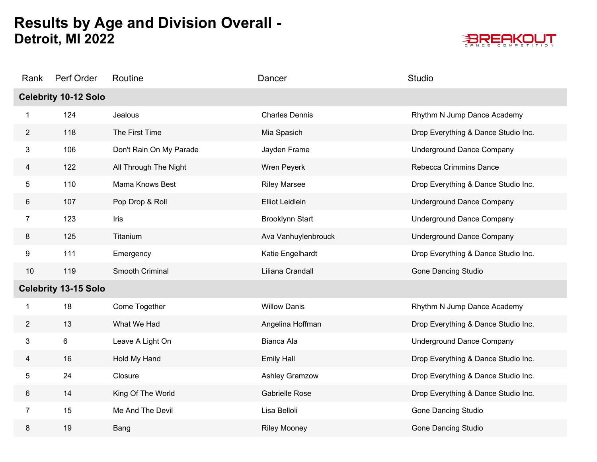

| Rank           | Perf Order                  | Routine                 | Dancer                 | Studio                              |
|----------------|-----------------------------|-------------------------|------------------------|-------------------------------------|
|                | <b>Celebrity 10-12 Solo</b> |                         |                        |                                     |
| $\mathbf{1}$   | 124                         | Jealous                 | <b>Charles Dennis</b>  | Rhythm N Jump Dance Academy         |
| $\overline{2}$ | 118                         | The First Time          | Mia Spasich            | Drop Everything & Dance Studio Inc. |
| 3              | 106                         | Don't Rain On My Parade | Jayden Frame           | <b>Underground Dance Company</b>    |
| 4              | 122                         | All Through The Night   | Wren Peyerk            | Rebecca Crimmins Dance              |
| 5              | 110                         | Mama Knows Best         | <b>Riley Marsee</b>    | Drop Everything & Dance Studio Inc. |
| 6              | 107                         | Pop Drop & Roll         | <b>Elliot Leidlein</b> | <b>Underground Dance Company</b>    |
| $\overline{7}$ | 123                         | Iris                    | <b>Brooklynn Start</b> | <b>Underground Dance Company</b>    |
| 8              | 125                         | Titanium                | Ava Vanhuylenbrouck    | <b>Underground Dance Company</b>    |
| 9              | 111                         | Emergency               | Katie Engelhardt       | Drop Everything & Dance Studio Inc. |
| 10             | 119                         | Smooth Criminal         | Liliana Crandall       | <b>Gone Dancing Studio</b>          |
|                | <b>Celebrity 13-15 Solo</b> |                         |                        |                                     |
| 1              | 18                          | Come Together           | <b>Willow Danis</b>    | Rhythm N Jump Dance Academy         |
| $\overline{2}$ | 13                          | What We Had             | Angelina Hoffman       | Drop Everything & Dance Studio Inc. |
| 3              | 6                           | Leave A Light On        | Bianca Ala             | <b>Underground Dance Company</b>    |
| 4              | 16                          | Hold My Hand            | <b>Emily Hall</b>      | Drop Everything & Dance Studio Inc. |
| 5              | 24                          | Closure                 | Ashley Gramzow         | Drop Everything & Dance Studio Inc. |
| 6              | 14                          | King Of The World       | Gabrielle Rose         | Drop Everything & Dance Studio Inc. |
| $\overline{7}$ | 15                          | Me And The Devil        | Lisa Belloli           | <b>Gone Dancing Studio</b>          |
| 8              | 19                          | Bang                    | <b>Riley Mooney</b>    | <b>Gone Dancing Studio</b>          |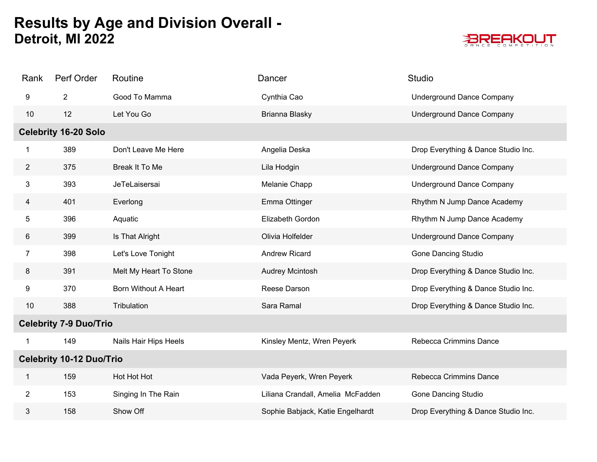

| Rank                            | Perf Order                  | Routine                | Dancer                            | Studio                              |  |  |
|---------------------------------|-----------------------------|------------------------|-----------------------------------|-------------------------------------|--|--|
| 9                               | $\overline{2}$              | Good To Mamma          | Cynthia Cao                       | <b>Underground Dance Company</b>    |  |  |
| 10                              | 12                          | Let You Go             | Brianna Blasky                    | <b>Underground Dance Company</b>    |  |  |
|                                 | <b>Celebrity 16-20 Solo</b> |                        |                                   |                                     |  |  |
| 1                               | 389                         | Don't Leave Me Here    | Angelia Deska                     | Drop Everything & Dance Studio Inc. |  |  |
| $\overline{2}$                  | 375                         | Break It To Me         | Lila Hodgin                       | <b>Underground Dance Company</b>    |  |  |
| 3                               | 393                         | JeTeLaisersai          | Melanie Chapp                     | <b>Underground Dance Company</b>    |  |  |
| $\overline{4}$                  | 401                         | Everlong               | Emma Ottinger                     | Rhythm N Jump Dance Academy         |  |  |
| 5                               | 396                         | Aquatic                | Elizabeth Gordon                  | Rhythm N Jump Dance Academy         |  |  |
| 6                               | 399                         | Is That Alright        | Olivia Holfelder                  | <b>Underground Dance Company</b>    |  |  |
| $\overline{7}$                  | 398                         | Let's Love Tonight     | Andrew Ricard                     | <b>Gone Dancing Studio</b>          |  |  |
| 8                               | 391                         | Melt My Heart To Stone | Audrey Mcintosh                   | Drop Everything & Dance Studio Inc. |  |  |
| 9                               | 370                         | Born Without A Heart   | Reese Darson                      | Drop Everything & Dance Studio Inc. |  |  |
| 10                              | 388                         | Tribulation            | Sara Ramal                        | Drop Everything & Dance Studio Inc. |  |  |
| <b>Celebrity 7-9 Duo/Trio</b>   |                             |                        |                                   |                                     |  |  |
| 1                               | 149                         | Nails Hair Hips Heels  | Kinsley Mentz, Wren Peyerk        | Rebecca Crimmins Dance              |  |  |
| <b>Celebrity 10-12 Duo/Trio</b> |                             |                        |                                   |                                     |  |  |
| 1                               | 159                         | Hot Hot Hot            | Vada Peyerk, Wren Peyerk          | Rebecca Crimmins Dance              |  |  |
| $\overline{2}$                  | 153                         | Singing In The Rain    | Liliana Crandall, Amelia McFadden | <b>Gone Dancing Studio</b>          |  |  |
| 3                               | 158                         | Show Off               | Sophie Babjack, Katie Engelhardt  | Drop Everything & Dance Studio Inc. |  |  |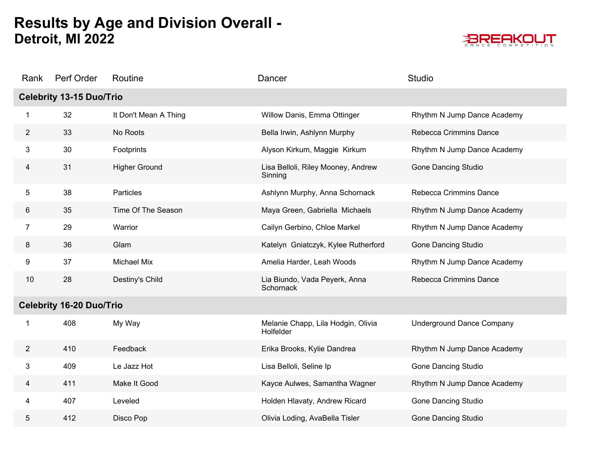

| Rank                            | Perf Order                      | Routine               | Dancer                                          | Studio                           |  |  |
|---------------------------------|---------------------------------|-----------------------|-------------------------------------------------|----------------------------------|--|--|
|                                 | <b>Celebrity 13-15 Duo/Trio</b> |                       |                                                 |                                  |  |  |
|                                 | 32                              | It Don't Mean A Thing | Willow Danis, Emma Ottinger                     | Rhythm N Jump Dance Academy      |  |  |
| $\overline{2}$                  | 33                              | No Roots              | Bella Irwin, Ashlynn Murphy                     | Rebecca Crimmins Dance           |  |  |
| 3                               | 30                              | Footprints            | Alyson Kirkum, Maggie Kirkum                    | Rhythm N Jump Dance Academy      |  |  |
| 4                               | 31                              | <b>Higher Ground</b>  | Lisa Belloli, Riley Mooney, Andrew<br>Sinning   | <b>Gone Dancing Studio</b>       |  |  |
| 5                               | 38                              | Particles             | Ashlynn Murphy, Anna Schornack                  | Rebecca Crimmins Dance           |  |  |
| 6                               | 35                              | Time Of The Season    | Maya Green, Gabriella Michaels                  | Rhythm N Jump Dance Academy      |  |  |
| $\overline{7}$                  | 29                              | Warrior               | Cailyn Gerbino, Chloe Markel                    | Rhythm N Jump Dance Academy      |  |  |
| 8                               | 36                              | Glam                  | Katelyn Gniatczyk, Kylee Rutherford             | <b>Gone Dancing Studio</b>       |  |  |
| 9                               | 37                              | <b>Michael Mix</b>    | Amelia Harder, Leah Woods                       | Rhythm N Jump Dance Academy      |  |  |
| 10                              | 28                              | Destiny's Child       | Lia Biundo, Vada Peyerk, Anna<br>Schornack      | Rebecca Crimmins Dance           |  |  |
| <b>Celebrity 16-20 Duo/Trio</b> |                                 |                       |                                                 |                                  |  |  |
| 1                               | 408                             | My Way                | Melanie Chapp, Lila Hodgin, Olivia<br>Holfelder | <b>Underground Dance Company</b> |  |  |
| $\overline{2}$                  | 410                             | Feedback              | Erika Brooks, Kylie Dandrea                     | Rhythm N Jump Dance Academy      |  |  |
| 3                               | 409                             | Le Jazz Hot           | Lisa Belloli, Seline Ip                         | <b>Gone Dancing Studio</b>       |  |  |
| 4                               | 411                             | Make It Good          | Kayce Aulwes, Samantha Wagner                   | Rhythm N Jump Dance Academy      |  |  |
| 4                               | 407                             | Leveled               | Holden Hlavaty, Andrew Ricard                   | <b>Gone Dancing Studio</b>       |  |  |
| 5                               | 412                             | Disco Pop             | Olivia Loding, AvaBella Tisler                  | <b>Gone Dancing Studio</b>       |  |  |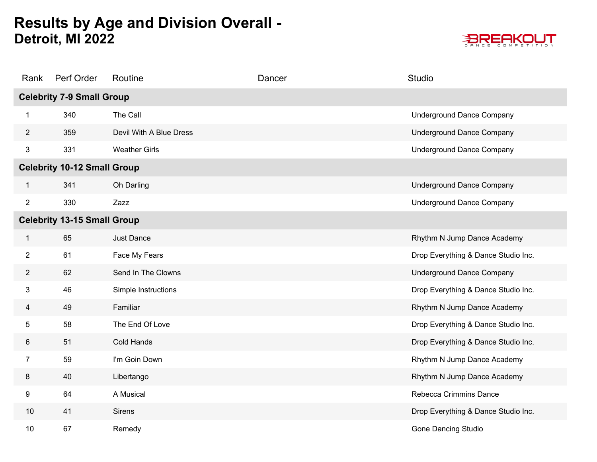

| Rank           | Perf Order                         | Routine                 | Dancer | <b>Studio</b>                       |
|----------------|------------------------------------|-------------------------|--------|-------------------------------------|
|                | <b>Celebrity 7-9 Small Group</b>   |                         |        |                                     |
| 1              | 340                                | The Call                |        | <b>Underground Dance Company</b>    |
| $\mathbf{2}$   | 359                                | Devil With A Blue Dress |        | <b>Underground Dance Company</b>    |
| 3              | 331                                | <b>Weather Girls</b>    |        | <b>Underground Dance Company</b>    |
|                | <b>Celebrity 10-12 Small Group</b> |                         |        |                                     |
| 1              | 341                                | Oh Darling              |        | <b>Underground Dance Company</b>    |
| $\overline{2}$ | 330                                | Zazz                    |        | <b>Underground Dance Company</b>    |
|                | <b>Celebrity 13-15 Small Group</b> |                         |        |                                     |
| 1              | 65                                 | Just Dance              |        | Rhythm N Jump Dance Academy         |
| $\overline{2}$ | 61                                 | Face My Fears           |        | Drop Everything & Dance Studio Inc. |
| $\mathbf{2}$   | 62                                 | Send In The Clowns      |        | <b>Underground Dance Company</b>    |
| 3              | 46                                 | Simple Instructions     |        | Drop Everything & Dance Studio Inc. |
| 4              | 49                                 | Familiar                |        | Rhythm N Jump Dance Academy         |
| 5              | 58                                 | The End Of Love         |        | Drop Everything & Dance Studio Inc. |
| 6              | 51                                 | Cold Hands              |        | Drop Everything & Dance Studio Inc. |
| $\overline{7}$ | 59                                 | I'm Goin Down           |        | Rhythm N Jump Dance Academy         |
| 8              | 40                                 | Libertango              |        | Rhythm N Jump Dance Academy         |
| 9              | 64                                 | A Musical               |        | Rebecca Crimmins Dance              |
| 10             | 41                                 | <b>Sirens</b>           |        | Drop Everything & Dance Studio Inc. |
| 10             | 67                                 | Remedy                  |        | <b>Gone Dancing Studio</b>          |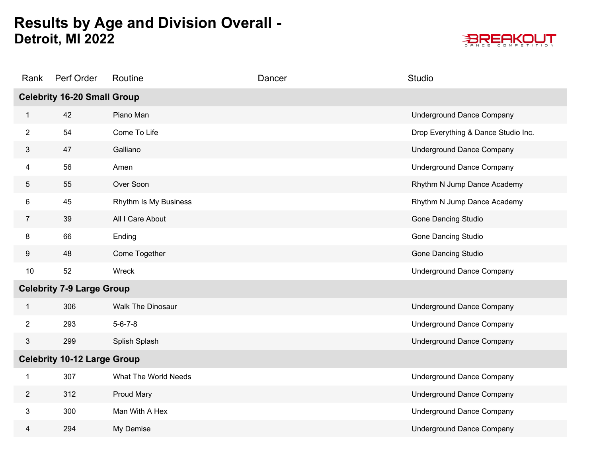

| Rank                               | Perf Order                         | Routine                  | Dancer | <b>Studio</b>                       |  |  |
|------------------------------------|------------------------------------|--------------------------|--------|-------------------------------------|--|--|
|                                    | <b>Celebrity 16-20 Small Group</b> |                          |        |                                     |  |  |
| $\mathbf{1}$                       | 42                                 | Piano Man                |        | <b>Underground Dance Company</b>    |  |  |
| $\overline{2}$                     | 54                                 | Come To Life             |        | Drop Everything & Dance Studio Inc. |  |  |
| 3                                  | 47                                 | Galliano                 |        | <b>Underground Dance Company</b>    |  |  |
| 4                                  | 56                                 | Amen                     |        | <b>Underground Dance Company</b>    |  |  |
| 5                                  | 55                                 | Over Soon                |        | Rhythm N Jump Dance Academy         |  |  |
| 6                                  | 45                                 | Rhythm Is My Business    |        | Rhythm N Jump Dance Academy         |  |  |
| $\overline{7}$                     | 39                                 | All I Care About         |        | <b>Gone Dancing Studio</b>          |  |  |
| 8                                  | 66                                 | Ending                   |        | Gone Dancing Studio                 |  |  |
| 9                                  | 48                                 | Come Together            |        | <b>Gone Dancing Studio</b>          |  |  |
| 10                                 | 52                                 | Wreck                    |        | <b>Underground Dance Company</b>    |  |  |
| <b>Celebrity 7-9 Large Group</b>   |                                    |                          |        |                                     |  |  |
| $\mathbf{1}$                       | 306                                | <b>Walk The Dinosaur</b> |        | <b>Underground Dance Company</b>    |  |  |
| $\overline{2}$                     | 293                                | $5 - 6 - 7 - 8$          |        | <b>Underground Dance Company</b>    |  |  |
| 3                                  | 299                                | Splish Splash            |        | <b>Underground Dance Company</b>    |  |  |
| <b>Celebrity 10-12 Large Group</b> |                                    |                          |        |                                     |  |  |
| 1                                  | 307                                | What The World Needs     |        | <b>Underground Dance Company</b>    |  |  |
| $\overline{2}$                     | 312                                | Proud Mary               |        | <b>Underground Dance Company</b>    |  |  |
| 3                                  | 300                                | Man With A Hex           |        | <b>Underground Dance Company</b>    |  |  |
| 4                                  | 294                                | My Demise                |        | <b>Underground Dance Company</b>    |  |  |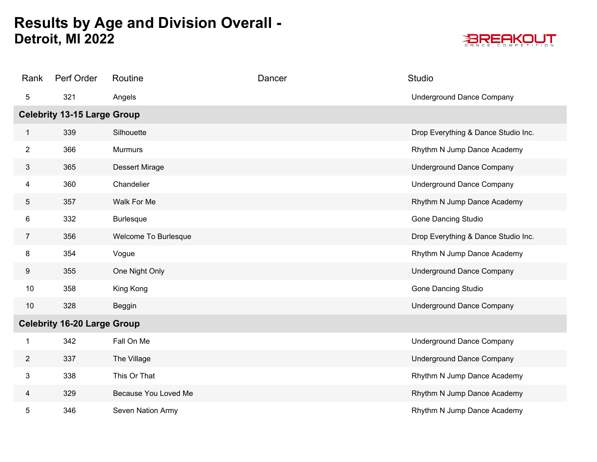

| Rank           | Perf Order                         | Routine               | Dancer | <b>Studio</b>                       |
|----------------|------------------------------------|-----------------------|--------|-------------------------------------|
| 5              | 321                                | Angels                |        | <b>Underground Dance Company</b>    |
|                | <b>Celebrity 13-15 Large Group</b> |                       |        |                                     |
| 1              | 339                                | Silhouette            |        | Drop Everything & Dance Studio Inc. |
| $\overline{2}$ | 366                                | <b>Murmurs</b>        |        | Rhythm N Jump Dance Academy         |
| 3              | 365                                | <b>Dessert Mirage</b> |        | <b>Underground Dance Company</b>    |
| 4              | 360                                | Chandelier            |        | <b>Underground Dance Company</b>    |
| 5              | 357                                | Walk For Me           |        | Rhythm N Jump Dance Academy         |
| 6              | 332                                | <b>Burlesque</b>      |        | <b>Gone Dancing Studio</b>          |
| $\overline{7}$ | 356                                | Welcome To Burlesque  |        | Drop Everything & Dance Studio Inc. |
| 8              | 354                                | Vogue                 |        | Rhythm N Jump Dance Academy         |
| 9              | 355                                | One Night Only        |        | <b>Underground Dance Company</b>    |
| 10             | 358                                | King Kong             |        | <b>Gone Dancing Studio</b>          |
| 10             | 328                                | Beggin                |        | <b>Underground Dance Company</b>    |
|                | <b>Celebrity 16-20 Large Group</b> |                       |        |                                     |
| 1              | 342                                | Fall On Me            |        | <b>Underground Dance Company</b>    |
| $\overline{2}$ | 337                                | The Village           |        | <b>Underground Dance Company</b>    |
| 3              | 338                                | This Or That          |        | Rhythm N Jump Dance Academy         |
| 4              | 329                                | Because You Loved Me  |        | Rhythm N Jump Dance Academy         |
| 5              | 346                                | Seven Nation Army     |        | Rhythm N Jump Dance Academy         |